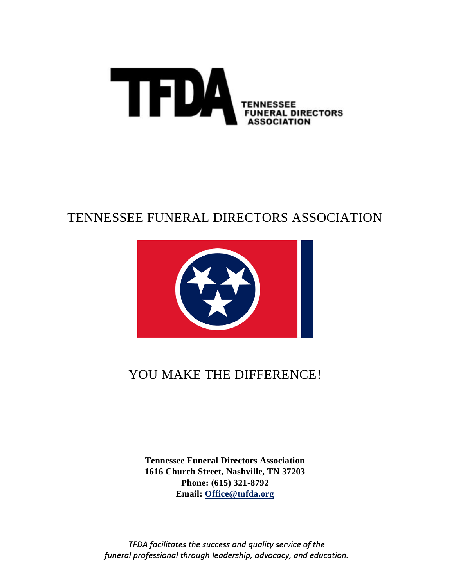

## TENNESSEE FUNERAL DIRECTORS ASSOCIATION



# YOU MAKE THE DIFFERENCE!

**Tennessee Funeral Directors Association 1616 Church Street, Nashville, TN 37203 Phone: (615) 321-8792 Email: [Office@tnfda.org](mailto:Office@tnfda.org)**

*TFDA facilitates the success and quality service of the funeral professional through leadership, advocacy, and education.*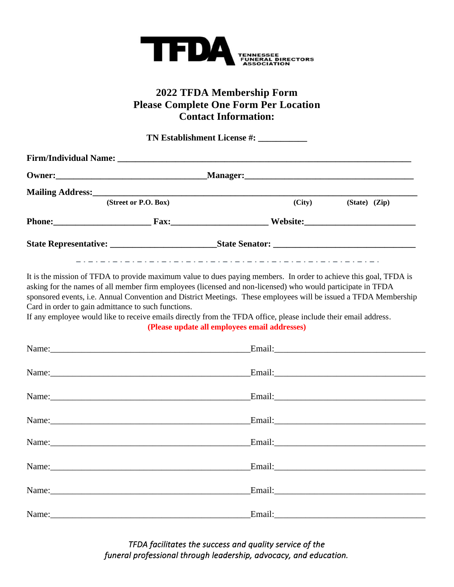

#### **2022 TFDA Membership Form Please Complete One Form Per Location Contact Information:**

**TN Establishment License #: \_\_\_\_\_\_\_\_\_\_\_ Firm/Individual Name: \_\_\_\_\_\_\_\_\_\_\_\_\_\_\_\_\_\_\_\_\_\_\_\_\_\_\_\_\_\_\_\_\_\_\_\_\_\_\_\_\_\_\_\_\_\_\_\_\_\_\_\_\_\_\_\_\_\_\_\_\_\_\_\_\_\_ Owner:\_\_\_\_\_\_\_\_\_\_\_\_\_\_\_\_\_\_\_\_\_\_\_\_\_\_\_\_\_\_\_\_\_\_Manager:\_\_\_\_\_\_\_\_\_\_\_\_\_\_\_\_\_\_\_\_\_\_\_\_\_\_\_\_\_\_\_\_\_\_\_\_\_\_ Mailing Address: (Street or P.O. Box) (City) (State) (Zip) Phone:\_\_\_\_\_\_\_\_\_\_\_\_\_\_\_\_\_\_\_\_\_\_ Fax:\_\_\_\_\_\_\_\_\_\_\_\_\_\_\_\_\_\_\_\_\_\_ Website:\_\_\_\_\_\_\_\_\_\_\_\_\_\_\_\_\_\_\_\_\_\_\_\_\_ State Representative: \_\_\_\_\_\_\_\_\_\_\_\_\_\_\_\_\_\_\_\_\_\_\_\_State Senator: \_\_\_\_\_\_\_\_\_\_\_\_\_\_\_\_\_\_\_\_\_\_\_\_\_\_\_\_\_\_\_\_** It is the mission of TFDA to provide maximum value to dues paying members. In order to achieve this goal, TFDA is asking for the names of all member firm employees (licensed and non-licensed) who would participate in TFDA

sponsored events, i.e. Annual Convention and District Meetings. These employees will be issued a TFDA Membership Card in order to gain admittance to such functions.

If any employee would like to receive emails directly from the TFDA office, please include their email address. **(Please update all employees email addresses)**

| Name:       | Email: Note and the set of the set of the set of the set of the set of the set of the set of the set of the set of the set of the set of the set of the set of the set of the set of the set of the set of the set of the set |
|-------------|-------------------------------------------------------------------------------------------------------------------------------------------------------------------------------------------------------------------------------|
|             |                                                                                                                                                                                                                               |
|             | Email: <u>Email:</u>                                                                                                                                                                                                          |
|             |                                                                                                                                                                                                                               |
| Name: Name: |                                                                                                                                                                                                                               |
|             |                                                                                                                                                                                                                               |
|             | Email: 2008 - 2014 - 2022 - 2022 - 2022 - 2022 - 2022 - 2022 - 2022 - 2022 - 2022 - 2022 - 2022 - 2022 - 2022                                                                                                                 |

*TFDA facilitates the success and quality service of the funeral professional through leadership, advocacy, and education.*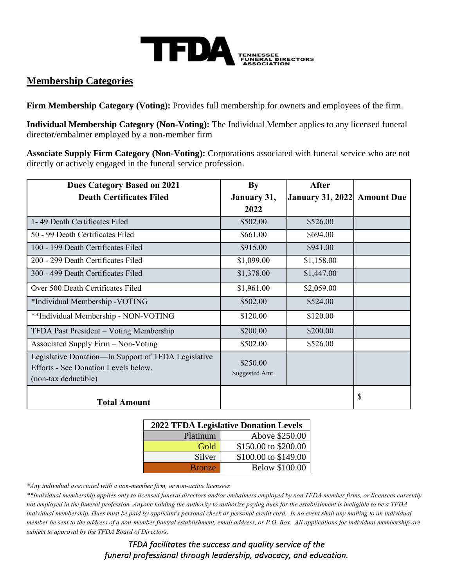

#### **Membership Categories**

**Firm Membership Category (Voting):** Provides full membership for owners and employees of the firm.

**Individual Membership Category (Non-Voting):** The Individual Member applies to any licensed funeral director/embalmer employed by a non-member firm

**Associate Supply Firm Category (Non-Voting):** Corporations associated with funeral service who are not directly or actively engaged in the funeral service profession.

| <b>Dues Category Based on 2021</b>                                                          | By             | <b>After</b>            |                   |
|---------------------------------------------------------------------------------------------|----------------|-------------------------|-------------------|
| <b>Death Certificates Filed</b>                                                             | January 31,    | <b>January 31, 2022</b> | <b>Amount Due</b> |
|                                                                                             | 2022           |                         |                   |
| 1-49 Death Certificates Filed                                                               | \$502.00       | \$526.00                |                   |
| 50 - 99 Death Certificates Filed                                                            | \$661.00       | \$694.00                |                   |
| 100 - 199 Death Certificates Filed                                                          | \$915.00       | \$941.00                |                   |
| 200 - 299 Death Certificates Filed                                                          | \$1,099.00     | \$1,158.00              |                   |
| 300 - 499 Death Certificates Filed                                                          | \$1,378.00     | \$1,447.00              |                   |
| Over 500 Death Certificates Filed                                                           | \$1,961.00     | \$2,059.00              |                   |
| *Individual Membership - VOTING                                                             | \$502.00       | \$524.00                |                   |
| **Individual Membership - NON-VOTING                                                        | \$120.00       | \$120.00                |                   |
| TFDA Past President - Voting Membership                                                     | \$200.00       | \$200.00                |                   |
| Associated Supply Firm - Non-Voting                                                         | \$502.00       | \$526.00                |                   |
| Legislative Donation—In Support of TFDA Legislative<br>Efforts - See Donation Levels below. | \$250.00       |                         |                   |
| (non-tax deductible)                                                                        | Suggested Amt. |                         |                   |
| <b>Total Amount</b>                                                                         |                |                         | \$                |

| <b>2022 TFDA Legislative Donation Levels</b> |                       |  |  |  |
|----------------------------------------------|-----------------------|--|--|--|
| Platinum                                     | Above \$250.00        |  |  |  |
| Gold                                         | \$150.00 to \$200.00  |  |  |  |
| Silver                                       | \$100.00 to \$149.00  |  |  |  |
| <b>Bronze</b>                                | <b>Below \$100.00</b> |  |  |  |

*\*Any individual associated with a non-member firm, or non-active licensees* 

*\*\*Individual membership applies only to licensed funeral directors and/or embalmers employed by non TFDA member firms, or licensees currently not employed in the funeral profession. Anyone holding the authority to authorize paying dues for the establishment is ineligible to be a TFDA individual membership. Dues must be paid by applicant's personal check or personal credit card. In no event shall any mailing to an individual member be sent to the address of a non-member funeral establishment, email address, or P.O. Box. All applications for individual membership are subject to approval by the TFDA Board of Directors.* 

> *TFDA facilitates the success and quality service of the funeral professional through leadership, advocacy, and education.*